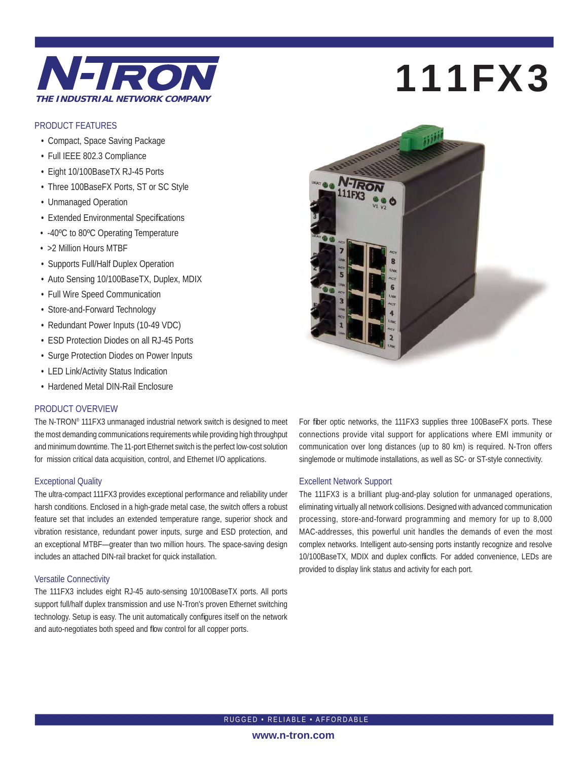

## PRODUCT FEATURES

- Compact, Space Saving Package
- Full IEEE 802.3 Compliance
- Eight 10/100BaseTX RJ-45 Ports
- Three 100BaseFX Ports, ST or SC Style
- Unmanaged Operation
- Extended Environmental Specifications
- -40ºC to 80ºC Operating Temperature
- >2 Million Hours MTBF
- Supports Full/Half Duplex Operation
- Auto Sensing 10/100BaseTX, Duplex, MDIX
- Full Wire Speed Communication
- Store-and-Forward Technology
- Redundant Power Inputs (10-49 VDC)
- ESD Protection Diodes on all RJ-45 Ports
- Surge Protection Diodes on Power Inputs
- LED Link/Activity Status Indication
- Hardened Metal DIN-Rail Enclosure

## PRODUCT OVERVIEW

The N-TRON® 111FX3 unmanaged industrial network switch is designed to meet the most demanding communications requirements while providing high throughput and minimum downtime. The 11-port Ethernet switch is the perfect low-cost solution for mission critical data acquisition, control, and Ethernet I/O applications.

## Exceptional Quality

The ultra-compact 111FX3 provides exceptional performance and reliability under harsh conditions. Enclosed in a high-grade metal case, the switch offers a robust feature set that includes an extended temperature range, superior shock and vibration resistance, redundant power inputs, surge and ESD protection, and an exceptional MTBF—greater than two million hours. The space-saving design includes an attached DIN-rail bracket for quick installation.

## Versatile Connectivity

The 111FX3 includes eight RJ-45 auto-sensing 10/100BaseTX ports. All ports support full/half duplex transmission and use N-Tron's proven Ethernet switching technology. Setup is easy. The unit automatically configures itself on the network and auto-negotiates both speed and flow control for all copper ports.

# 111FX3



For fiber optic networks, the 111FX3 supplies three 100BaseFX ports. These connections provide vital support for applications where EMI immunity or communication over long distances (up to 80 km) is required. N-Tron offers singlemode or multimode installations, as well as SC- or ST-style connectivity.

## Excellent Network Support

The 111FX3 is a brilliant plug-and-play solution for unmanaged operations, eliminating virtually all network collisions. Designed with advanced communication processing, store-and-forward programming and memory for up to 8,000 MAC-addresses, this powerful unit handles the demands of even the most complex networks. Intelligent auto-sensing ports instantly recognize and resolve 10/100BaseTX, MDIX and duplex conflicts. For added convenience, LEDs are provided to display link status and activity for each port.

RUGGED • RELIABLE • AFFORDABLE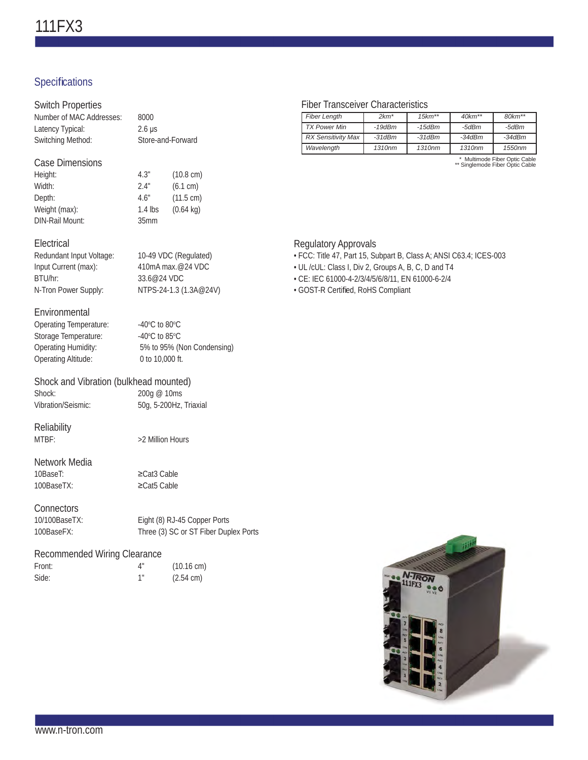## Specifications

| <b>Switch Properties</b><br>Number of MAC Addresses:                                                                 | 8000                                                                                                          |                                                                               |  |
|----------------------------------------------------------------------------------------------------------------------|---------------------------------------------------------------------------------------------------------------|-------------------------------------------------------------------------------|--|
| Latency Typical:<br>Switching Method:                                                                                | $2.6 \mu s$<br>Store-and-Forward                                                                              |                                                                               |  |
| <b>Case Dimensions</b><br>Height:<br>Width:<br>Depth:<br>Weight (max):<br><b>DIN-Rail Mount:</b>                     | 4.3"<br>2.4"<br>4.6"<br>$1.4$ lbs<br>35 <sub>mm</sub>                                                         | $(10.8 \text{ cm})$<br>(6.1 cm)<br>$(11.5 \text{ cm})$<br>$(0.64 \text{ kg})$ |  |
| Electrical<br>Redundant Input Voltage:<br>Input Current (max):<br>BTU/hr:<br>N-Tron Power Supply:                    | 10-49 VDC (Regulated)<br>410mA max.@24 VDC<br>33.6@24 VDC<br>NTPS-24-1.3 (1.3A@24V)                           |                                                                               |  |
| Environmental<br>Operating Temperature:<br>Storage Temperature:<br><b>Operating Humidity:</b><br>Operating Altitude: | -40 $\rm{^{\circ}C}$ to 80 $\rm{^{\circ}C}$<br>-40°C to 85°C<br>5% to 95% (Non Condensing)<br>0 to 10,000 ft. |                                                                               |  |
| Shock and Vibration (bulkhead mounted)                                                                               |                                                                                                               |                                                                               |  |
| Shock:<br>Vibration/Seismic:                                                                                         | 200g @ 10ms                                                                                                   | 50g, 5-200Hz, Triaxial                                                        |  |
| Reliability<br>MTRF:                                                                                                 | >2 Million Hours                                                                                              |                                                                               |  |
| Network Media<br>10BaseT:<br>100BaseTX:                                                                              | $\geq$ Cat3 Cable<br>$\geq$ Cat5 Cable                                                                        |                                                                               |  |
| Connectors<br>10/100BaseTX:<br>100BaseFX:                                                                            |                                                                                                               | Eight (8) RJ-45 Copper Ports<br>Three (3) SC or ST Fiber Duplex Ports         |  |
| Recommended Wiring Clearance                                                                                         |                                                                                                               |                                                                               |  |

Front: 4" (10.16 cm)<br>Side: 1" (2.54 cm) Side: 1" (2.54 cm)

## Fiber Transceiver Characteristics

| <b>Fiber Length</b>       | $2km*$             | $15km**$           | $40km**$ | $80km**$ |
|---------------------------|--------------------|--------------------|----------|----------|
| <b>TX Power Min</b>       | $-19dBm$           | -15dBm             | -5dBm    | -5dBm    |
| <b>RX Sensitivity Max</b> | $-31dBm$           | $-31dBm$           | $-34dBm$ | $-34dBm$ |
| Wavelength                | 1310 <sub>nm</sub> | 1310 <sub>nm</sub> | 1310nm   | 1550nm   |

\* Multimode Fiber Optic Cable \*\* Singlemode Fiber Optic Cable

## Regulatory Approvals

- FCC: Title 47, Part 15, Subpart B, Class A; ANSI C63.4; ICES-003
- UL /cUL: Class I, Div 2, Groups A, B, C, D and T4
- CE: IEC 61000-4-2/3/4/5/6/8/11, EN 61000-6-2/4
- GOST-R Certified, RoHS Compliant

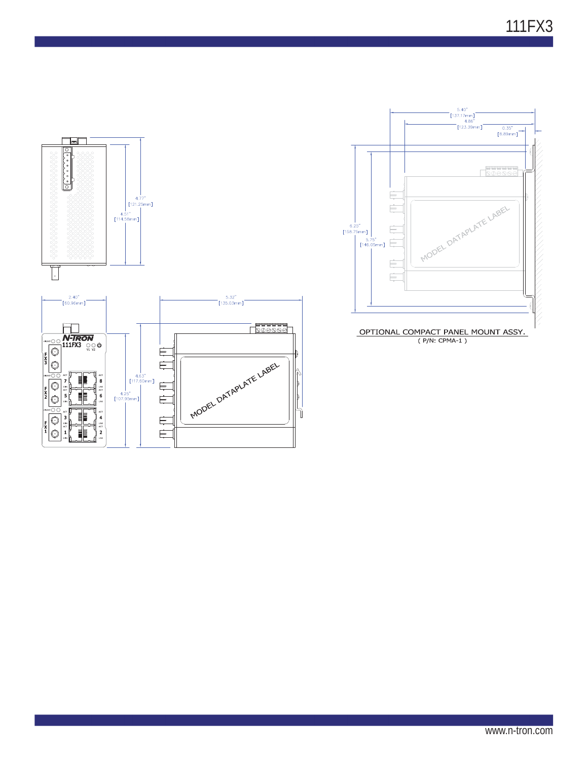